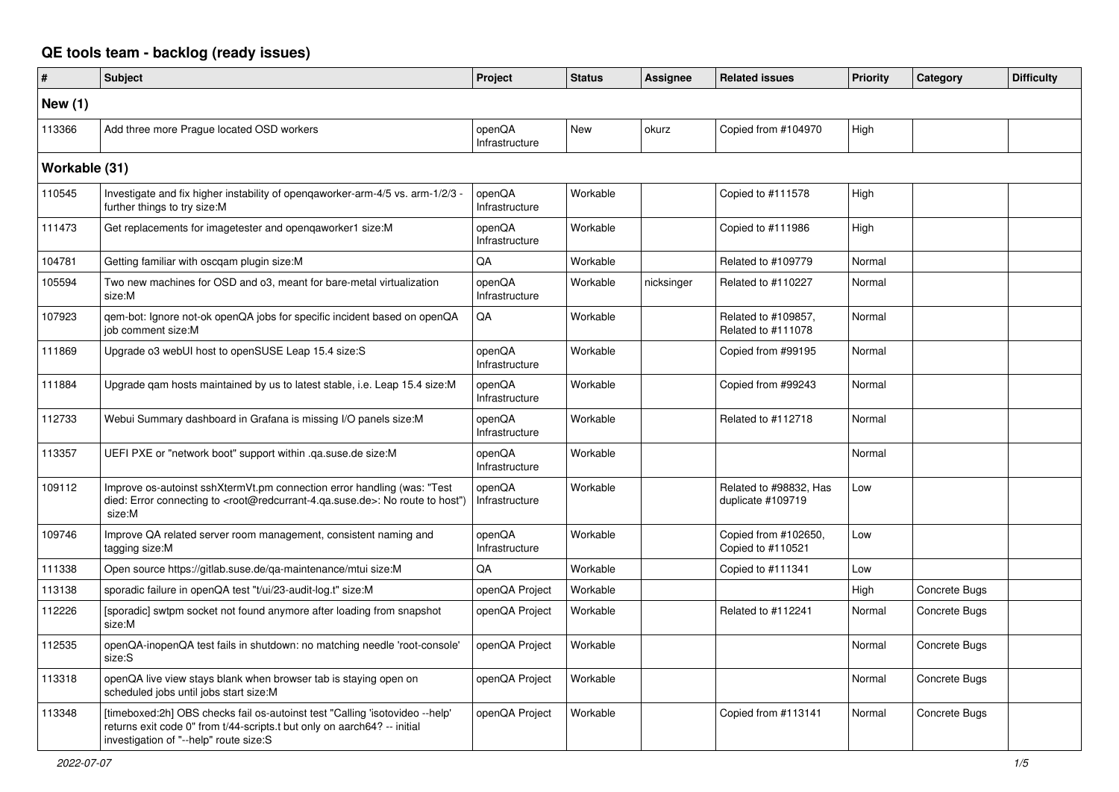## **QE tools team - backlog (ready issues)**

| $\pmb{\#}$    | <b>Subject</b>                                                                                                                                                                                     | Project                  | <b>Status</b> | Assignee   | <b>Related issues</b>                       | <b>Priority</b> | Category      | <b>Difficulty</b> |
|---------------|----------------------------------------------------------------------------------------------------------------------------------------------------------------------------------------------------|--------------------------|---------------|------------|---------------------------------------------|-----------------|---------------|-------------------|
| New (1)       |                                                                                                                                                                                                    |                          |               |            |                                             |                 |               |                   |
| 113366        | Add three more Praque located OSD workers                                                                                                                                                          | openQA<br>Infrastructure | <b>New</b>    | okurz      | Copied from #104970                         | High            |               |                   |
| Workable (31) |                                                                                                                                                                                                    |                          |               |            |                                             |                 |               |                   |
| 110545        | Investigate and fix higher instability of opengaworker-arm-4/5 vs. arm-1/2/3<br>further things to try size:M                                                                                       | openQA<br>Infrastructure | Workable      |            | Copied to #111578                           | High            |               |                   |
| 111473        | Get replacements for imagetester and openqaworker1 size:M                                                                                                                                          | openQA<br>Infrastructure | Workable      |            | Copied to #111986                           | High            |               |                   |
| 104781        | Getting familiar with oscgam plugin size:M                                                                                                                                                         | QA                       | Workable      |            | Related to #109779                          | Normal          |               |                   |
| 105594        | Two new machines for OSD and o3, meant for bare-metal virtualization<br>size:M                                                                                                                     | openQA<br>Infrastructure | Workable      | nicksinger | Related to #110227                          | Normal          |               |                   |
| 107923        | qem-bot: Ignore not-ok openQA jobs for specific incident based on openQA<br>job comment size:M                                                                                                     | QA                       | Workable      |            | Related to #109857,<br>Related to #111078   | Normal          |               |                   |
| 111869        | Upgrade o3 webUI host to openSUSE Leap 15.4 size:S                                                                                                                                                 | openQA<br>Infrastructure | Workable      |            | Copied from #99195                          | Normal          |               |                   |
| 111884        | Upgrade qam hosts maintained by us to latest stable, i.e. Leap 15.4 size:M                                                                                                                         | openQA<br>Infrastructure | Workable      |            | Copied from #99243                          | Normal          |               |                   |
| 112733        | Webui Summary dashboard in Grafana is missing I/O panels size:M                                                                                                                                    | openQA<br>Infrastructure | Workable      |            | Related to #112718                          | Normal          |               |                   |
| 113357        | UEFI PXE or "network boot" support within .qa.suse.de size:M                                                                                                                                       | openQA<br>Infrastructure | Workable      |            |                                             | Normal          |               |                   |
| 109112        | Improve os-autoinst sshXtermVt.pm connection error handling (was: "Test<br>died: Error connecting to <root@redcurrant-4.qa.suse.de>: No route to host")<br/>size:M</root@redcurrant-4.qa.suse.de>  | openQA<br>Infrastructure | Workable      |            | Related to #98832, Has<br>duplicate #109719 | Low             |               |                   |
| 109746        | Improve QA related server room management, consistent naming and<br>tagging size:M                                                                                                                 | openQA<br>Infrastructure | Workable      |            | Copied from #102650,<br>Copied to #110521   | Low             |               |                   |
| 111338        | Open source https://gitlab.suse.de/ga-maintenance/mtui size:M                                                                                                                                      | QA                       | Workable      |            | Copied to #111341                           | Low             |               |                   |
| 113138        | sporadic failure in openQA test "t/ui/23-audit-log.t" size:M                                                                                                                                       | openQA Project           | Workable      |            |                                             | High            | Concrete Bugs |                   |
| 112226        | [sporadic] swtpm socket not found anymore after loading from snapshot<br>size:M                                                                                                                    | openQA Project           | Workable      |            | Related to #112241                          | Normal          | Concrete Bugs |                   |
| 112535        | openQA-inopenQA test fails in shutdown: no matching needle 'root-console'<br>size:S                                                                                                                | openQA Project           | Workable      |            |                                             | Normal          | Concrete Bugs |                   |
| 113318        | openQA live view stays blank when browser tab is staying open on<br>scheduled jobs until jobs start size:M                                                                                         | openQA Project           | Workable      |            |                                             | Normal          | Concrete Bugs |                   |
| 113348        | [timeboxed:2h] OBS checks fail os-autoinst test "Calling 'isotovideo --help'<br>returns exit code 0" from t/44-scripts.t but only on aarch64? -- initial<br>investigation of "--help" route size:S | openQA Project           | Workable      |            | Copied from #113141                         | Normal          | Concrete Bugs |                   |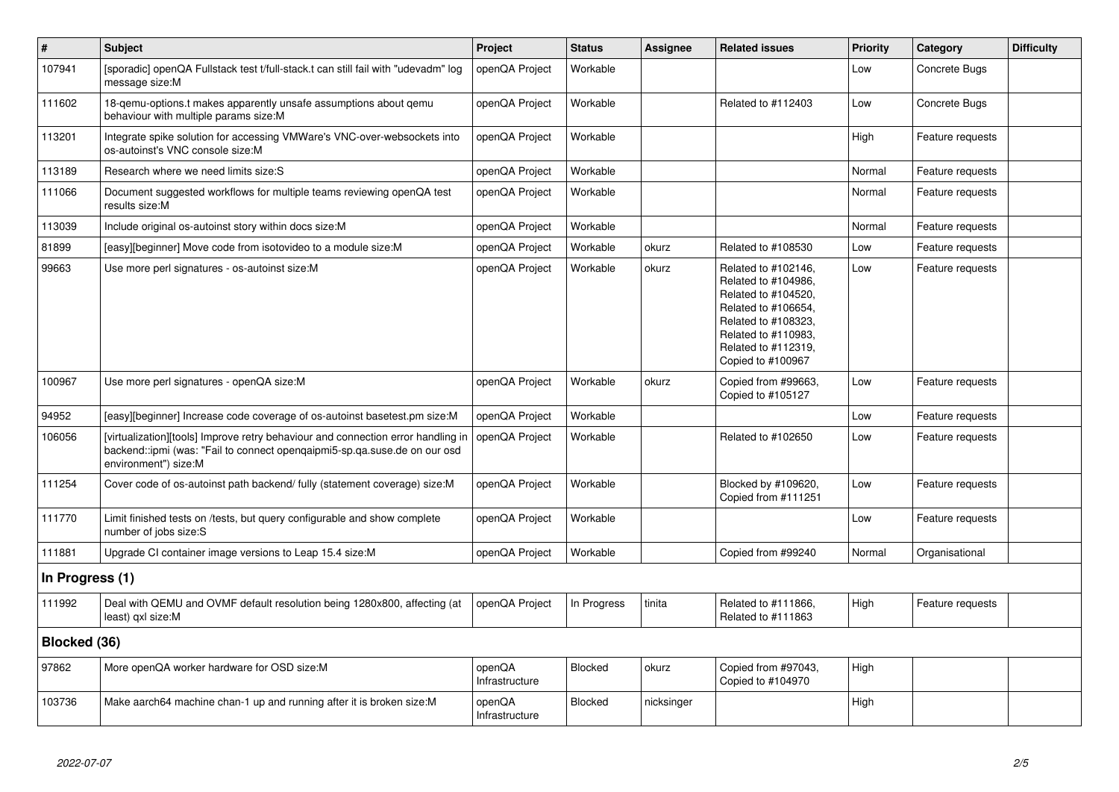| $\#$            | <b>Subject</b>                                                                                                                                                                        | Project                  | <b>Status</b>  | <b>Assignee</b> | <b>Related issues</b>                                                                                                                                                              | <b>Priority</b> | Category         | <b>Difficulty</b> |
|-----------------|---------------------------------------------------------------------------------------------------------------------------------------------------------------------------------------|--------------------------|----------------|-----------------|------------------------------------------------------------------------------------------------------------------------------------------------------------------------------------|-----------------|------------------|-------------------|
| 107941          | [sporadic] openQA Fullstack test t/full-stack.t can still fail with "udevadm" log<br>message size:M                                                                                   | openQA Project           | Workable       |                 |                                                                                                                                                                                    | Low             | Concrete Bugs    |                   |
| 111602          | 18-gemu-options.t makes apparently unsafe assumptions about gemu<br>behaviour with multiple params size:M                                                                             | openQA Project           | Workable       |                 | Related to #112403                                                                                                                                                                 | Low             | Concrete Bugs    |                   |
| 113201          | Integrate spike solution for accessing VMWare's VNC-over-websockets into<br>os-autoinst's VNC console size:M                                                                          | openQA Project           | Workable       |                 |                                                                                                                                                                                    | High            | Feature requests |                   |
| 113189          | Research where we need limits size: S                                                                                                                                                 | openQA Project           | Workable       |                 |                                                                                                                                                                                    | Normal          | Feature requests |                   |
| 111066          | Document suggested workflows for multiple teams reviewing openQA test<br>results size:M                                                                                               | openQA Project           | Workable       |                 |                                                                                                                                                                                    | Normal          | Feature requests |                   |
| 113039          | Include original os-autoinst story within docs size:M                                                                                                                                 | openQA Project           | Workable       |                 |                                                                                                                                                                                    | Normal          | Feature requests |                   |
| 81899           | [easy][beginner] Move code from isotovideo to a module size:M                                                                                                                         | openQA Project           | Workable       | okurz           | Related to #108530                                                                                                                                                                 | Low             | Feature requests |                   |
| 99663           | Use more perl signatures - os-autoinst size: M                                                                                                                                        | openQA Project           | Workable       | okurz           | Related to #102146,<br>Related to #104986,<br>Related to #104520,<br>Related to #106654,<br>Related to #108323,<br>Related to #110983,<br>Related to #112319,<br>Copied to #100967 | Low             | Feature requests |                   |
| 100967          | Use more perl signatures - openQA size:M                                                                                                                                              | openQA Project           | Workable       | okurz           | Copied from #99663,<br>Copied to #105127                                                                                                                                           | Low             | Feature requests |                   |
| 94952           | [easy][beginner] Increase code coverage of os-autoinst basetest.pm size:M                                                                                                             | openQA Project           | Workable       |                 |                                                                                                                                                                                    | Low             | Feature requests |                   |
| 106056          | [virtualization][tools] Improve retry behaviour and connection error handling in<br>backend::ipmi (was: "Fail to connect opengaipmi5-sp.qa.suse.de on our osd<br>environment") size:M | openQA Project           | Workable       |                 | Related to #102650                                                                                                                                                                 | Low             | Feature requests |                   |
| 111254          | Cover code of os-autoinst path backend/ fully (statement coverage) size:M                                                                                                             | openQA Project           | Workable       |                 | Blocked by #109620,<br>Copied from #111251                                                                                                                                         | Low             | Feature requests |                   |
| 111770          | Limit finished tests on /tests, but query configurable and show complete<br>number of jobs size:S                                                                                     | openQA Project           | Workable       |                 |                                                                                                                                                                                    | Low             | Feature requests |                   |
| 111881          | Upgrade CI container image versions to Leap 15.4 size:M                                                                                                                               | openQA Project           | Workable       |                 | Copied from #99240                                                                                                                                                                 | Normal          | Organisational   |                   |
| In Progress (1) |                                                                                                                                                                                       |                          |                |                 |                                                                                                                                                                                    |                 |                  |                   |
| 111992          | Deal with QEMU and OVMF default resolution being 1280x800, affecting (at<br>least) qxl size:M                                                                                         | openQA Project           | In Progress    | tinita          | Related to #111866,<br>Related to #111863                                                                                                                                          | High            | Feature requests |                   |
| Blocked (36)    |                                                                                                                                                                                       |                          |                |                 |                                                                                                                                                                                    |                 |                  |                   |
| 97862           | More openQA worker hardware for OSD size:M                                                                                                                                            | openQA<br>Infrastructure | <b>Blocked</b> | okurz           | Copied from #97043,<br>Copied to #104970                                                                                                                                           | High            |                  |                   |
| 103736          | Make aarch64 machine chan-1 up and running after it is broken size: M                                                                                                                 | openQA<br>Infrastructure | Blocked        | nicksinger      |                                                                                                                                                                                    | High            |                  |                   |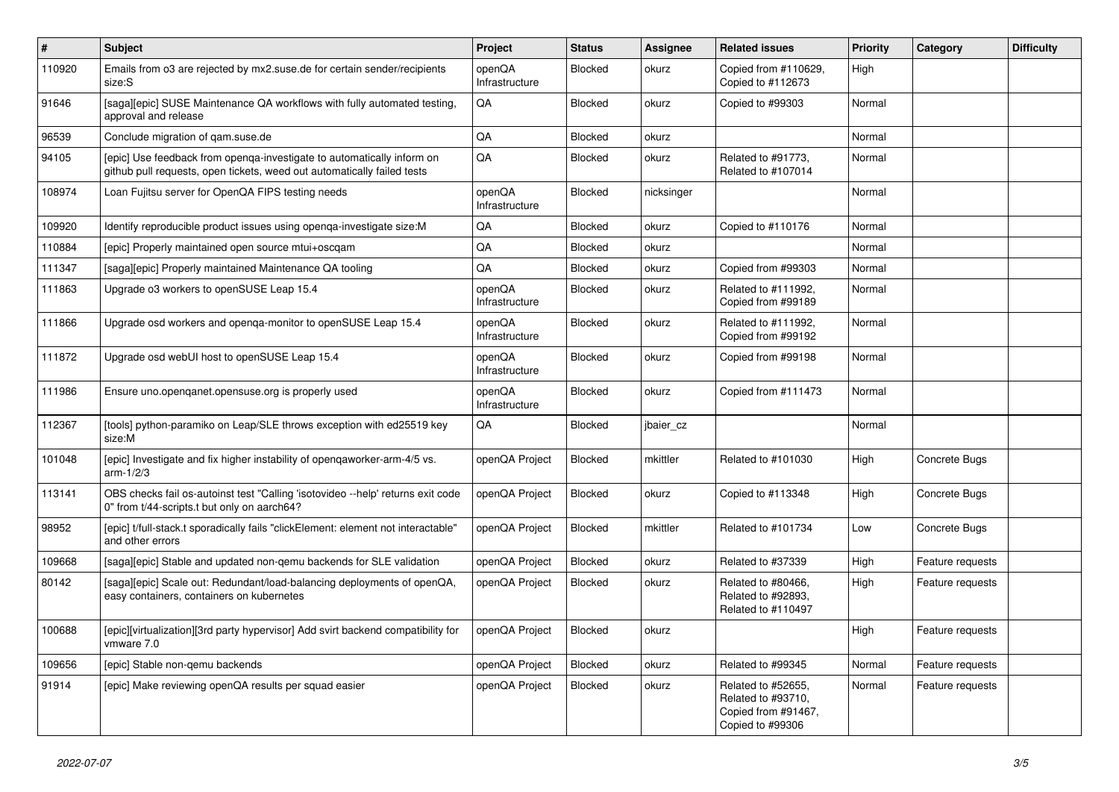| #      | <b>Subject</b>                                                                                                                                    | Project                  | <b>Status</b>  | <b>Assignee</b> | <b>Related issues</b>                                                               | Priority | Category         | <b>Difficulty</b> |
|--------|---------------------------------------------------------------------------------------------------------------------------------------------------|--------------------------|----------------|-----------------|-------------------------------------------------------------------------------------|----------|------------------|-------------------|
| 110920 | Emails from o3 are rejected by mx2.suse.de for certain sender/recipients<br>size:S                                                                | openQA<br>Infrastructure | <b>Blocked</b> | okurz           | Copied from #110629,<br>Copied to #112673                                           | High     |                  |                   |
| 91646  | [saga][epic] SUSE Maintenance QA workflows with fully automated testing,<br>approval and release                                                  | QA                       | Blocked        | okurz           | Copied to #99303                                                                    | Normal   |                  |                   |
| 96539  | Conclude migration of qam.suse.de                                                                                                                 | QA                       | Blocked        | okurz           |                                                                                     | Normal   |                  |                   |
| 94105  | [epic] Use feedback from openqa-investigate to automatically inform on<br>github pull requests, open tickets, weed out automatically failed tests | QA                       | Blocked        | okurz           | Related to #91773,<br>Related to #107014                                            | Normal   |                  |                   |
| 108974 | Loan Fujitsu server for OpenQA FIPS testing needs                                                                                                 | openQA<br>Infrastructure | Blocked        | nicksinger      |                                                                                     | Normal   |                  |                   |
| 109920 | Identify reproducible product issues using openga-investigate size:M                                                                              | QA                       | <b>Blocked</b> | okurz           | Copied to #110176                                                                   | Normal   |                  |                   |
| 110884 | [epic] Properly maintained open source mtui+oscgam                                                                                                | QA                       | Blocked        | okurz           |                                                                                     | Normal   |                  |                   |
| 111347 | [saga][epic] Properly maintained Maintenance QA tooling                                                                                           | QA                       | Blocked        | okurz           | Copied from #99303                                                                  | Normal   |                  |                   |
| 111863 | Upgrade o3 workers to openSUSE Leap 15.4                                                                                                          | openQA<br>Infrastructure | Blocked        | okurz           | Related to #111992,<br>Copied from #99189                                           | Normal   |                  |                   |
| 111866 | Upgrade osd workers and openga-monitor to openSUSE Leap 15.4                                                                                      | openQA<br>Infrastructure | Blocked        | okurz           | Related to #111992.<br>Copied from #99192                                           | Normal   |                  |                   |
| 111872 | Upgrade osd webUI host to openSUSE Leap 15.4                                                                                                      | openQA<br>Infrastructure | Blocked        | okurz           | Copied from #99198                                                                  | Normal   |                  |                   |
| 111986 | Ensure uno openganet opensuse org is properly used                                                                                                | openQA<br>Infrastructure | Blocked        | okurz           | Copied from #111473                                                                 | Normal   |                  |                   |
| 112367 | [tools] python-paramiko on Leap/SLE throws exception with ed25519 key<br>size:M                                                                   | QA                       | Blocked        | jbaier_cz       |                                                                                     | Normal   |                  |                   |
| 101048 | [epic] Investigate and fix higher instability of openqaworker-arm-4/5 vs.<br>$arm-1/2/3$                                                          | openQA Project           | Blocked        | mkittler        | Related to #101030                                                                  | High     | Concrete Bugs    |                   |
| 113141 | OBS checks fail os-autoinst test "Calling 'isotovideo --help' returns exit code<br>0" from t/44-scripts.t but only on aarch64?                    | openQA Project           | Blocked        | okurz           | Copied to #113348                                                                   | High     | Concrete Bugs    |                   |
| 98952  | [epic] t/full-stack.t sporadically fails "clickElement: element not interactable"<br>and other errors                                             | openQA Project           | Blocked        | mkittler        | Related to #101734                                                                  | Low      | Concrete Bugs    |                   |
| 109668 | [saga][epic] Stable and updated non-qemu backends for SLE validation                                                                              | openQA Project           | Blocked        | okurz           | Related to #37339                                                                   | High     | Feature requests |                   |
| 80142  | [saga][epic] Scale out: Redundant/load-balancing deployments of openQA,<br>easy containers, containers on kubernetes                              | openQA Project           | Blocked        | okurz           | Related to #80466,<br>Related to #92893,<br>Related to #110497                      | High     | Feature requests |                   |
| 100688 | [epic][virtualization][3rd party hypervisor] Add svirt backend compatibility for<br>vmware 7.0                                                    | openQA Project           | Blocked        | okurz           |                                                                                     | High     | Feature requests |                   |
| 109656 | [epic] Stable non-gemu backends                                                                                                                   | openQA Project           | Blocked        | okurz           | Related to #99345                                                                   | Normal   | Feature requests |                   |
| 91914  | [epic] Make reviewing openQA results per squad easier                                                                                             | openQA Project           | Blocked        | okurz           | Related to #52655,<br>Related to #93710,<br>Copied from #91467,<br>Copied to #99306 | Normal   | Feature requests |                   |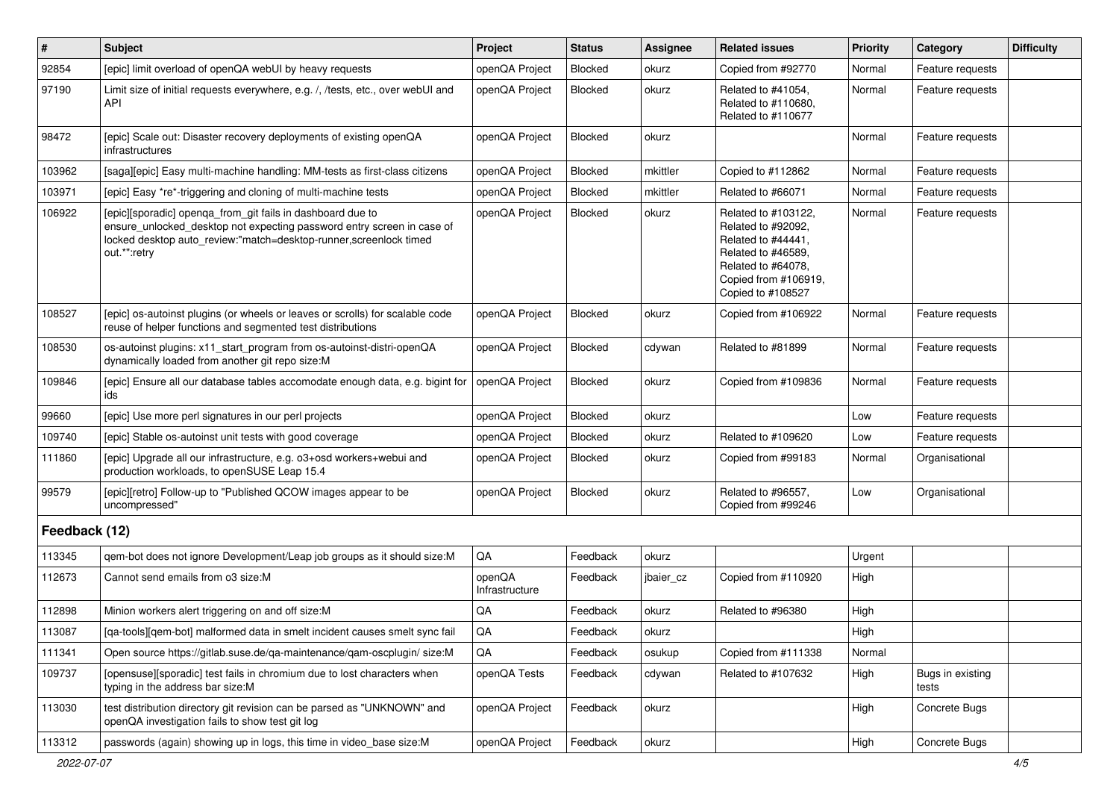| $\sharp$      | <b>Subject</b>                                                                                                                                                                                                            | Project                  | <b>Status</b>  | Assignee  | <b>Related issues</b>                                                                                                                                    | <b>Priority</b> | Category                  | <b>Difficulty</b> |
|---------------|---------------------------------------------------------------------------------------------------------------------------------------------------------------------------------------------------------------------------|--------------------------|----------------|-----------|----------------------------------------------------------------------------------------------------------------------------------------------------------|-----------------|---------------------------|-------------------|
| 92854         | [epic] limit overload of openQA webUI by heavy requests                                                                                                                                                                   | openQA Project           | <b>Blocked</b> | okurz     | Copied from #92770                                                                                                                                       | Normal          | Feature requests          |                   |
| 97190         | Limit size of initial requests everywhere, e.g. /, /tests, etc., over webUI and<br><b>API</b>                                                                                                                             | openQA Project           | Blocked        | okurz     | Related to #41054,<br>Related to #110680,<br>Related to #110677                                                                                          | Normal          | Feature requests          |                   |
| 98472         | [epic] Scale out: Disaster recovery deployments of existing openQA<br>infrastructures                                                                                                                                     | openQA Project           | Blocked        | okurz     |                                                                                                                                                          | Normal          | Feature requests          |                   |
| 103962        | [saga][epic] Easy multi-machine handling: MM-tests as first-class citizens                                                                                                                                                | openQA Project           | Blocked        | mkittler  | Copied to #112862                                                                                                                                        | Normal          | Feature requests          |                   |
| 103971        | [epic] Easy *re*-triggering and cloning of multi-machine tests                                                                                                                                                            | openQA Project           | Blocked        | mkittler  | Related to #66071                                                                                                                                        | Normal          | Feature requests          |                   |
| 106922        | [epic][sporadic] openga_from_git fails in dashboard due to<br>ensure unlocked desktop not expecting password entry screen in case of<br>locked desktop auto_review:"match=desktop-runner,screenlock timed<br>out.*":retry | openQA Project           | Blocked        | okurz     | Related to #103122,<br>Related to #92092,<br>Related to #44441,<br>Related to #46589,<br>Related to #64078,<br>Copied from #106919,<br>Copied to #108527 | Normal          | Feature requests          |                   |
| 108527        | [epic] os-autoinst plugins (or wheels or leaves or scrolls) for scalable code<br>reuse of helper functions and segmented test distributions                                                                               | openQA Project           | <b>Blocked</b> | okurz     | Copied from #106922                                                                                                                                      | Normal          | Feature requests          |                   |
| 108530        | os-autoinst plugins: x11_start_program from os-autoinst-distri-openQA<br>dynamically loaded from another git repo size:M                                                                                                  | openQA Project           | Blocked        | cdywan    | Related to #81899                                                                                                                                        | Normal          | Feature requests          |                   |
| 109846        | [epic] Ensure all our database tables accomodate enough data, e.g. bigint for<br>ids                                                                                                                                      | openQA Project           | Blocked        | okurz     | Copied from #109836                                                                                                                                      | Normal          | Feature requests          |                   |
| 99660         | [epic] Use more perl signatures in our perl projects                                                                                                                                                                      | openQA Project           | Blocked        | okurz     |                                                                                                                                                          | Low             | Feature requests          |                   |
| 109740        | [epic] Stable os-autoinst unit tests with good coverage                                                                                                                                                                   | openQA Project           | <b>Blocked</b> | okurz     | Related to #109620                                                                                                                                       | Low             | Feature requests          |                   |
| 111860        | [epic] Upgrade all our infrastructure, e.g. o3+osd workers+webui and<br>production workloads, to openSUSE Leap 15.4                                                                                                       | openQA Project           | Blocked        | okurz     | Copied from #99183                                                                                                                                       | Normal          | Organisational            |                   |
| 99579         | [epic][retro] Follow-up to "Published QCOW images appear to be<br>uncompressed"                                                                                                                                           | openQA Project           | Blocked        | okurz     | Related to #96557,<br>Copied from #99246                                                                                                                 | Low             | Organisational            |                   |
| Feedback (12) |                                                                                                                                                                                                                           |                          |                |           |                                                                                                                                                          |                 |                           |                   |
| 113345        | qem-bot does not ignore Development/Leap job groups as it should size: M                                                                                                                                                  | QA                       | Feedback       | okurz     |                                                                                                                                                          | Urgent          |                           |                   |
| 112673        | Cannot send emails from o3 size:M                                                                                                                                                                                         | openQA<br>Infrastructure | Feedback       | jbaier cz | Copied from #110920                                                                                                                                      | High            |                           |                   |
| 112898        | Minion workers alert triggering on and off size:M                                                                                                                                                                         | QA                       | Feedback       | okurz     | Related to #96380                                                                                                                                        | High            |                           |                   |
| 113087        | [qa-tools][qem-bot] malformed data in smelt incident causes smelt sync fail                                                                                                                                               | $\mathsf{QA}$            | Feedback       | okurz     |                                                                                                                                                          | High            |                           |                   |
| 111341        | Open source https://gitlab.suse.de/qa-maintenance/qam-oscplugin/size:M                                                                                                                                                    | QA                       | Feedback       | osukup    | Copied from #111338                                                                                                                                      | Normal          |                           |                   |
| 109737        | [opensuse][sporadic] test fails in chromium due to lost characters when<br>typing in the address bar size:M                                                                                                               | openQA Tests             | Feedback       | cdywan    | Related to #107632                                                                                                                                       | High            | Bugs in existing<br>tests |                   |
| 113030        | test distribution directory git revision can be parsed as "UNKNOWN" and<br>openQA investigation fails to show test git log                                                                                                | openQA Project           | Feedback       | okurz     |                                                                                                                                                          | High            | Concrete Bugs             |                   |
| 113312        | passwords (again) showing up in logs, this time in video_base size:M                                                                                                                                                      | openQA Project           | Feedback       | okurz     |                                                                                                                                                          | High            | Concrete Bugs             |                   |